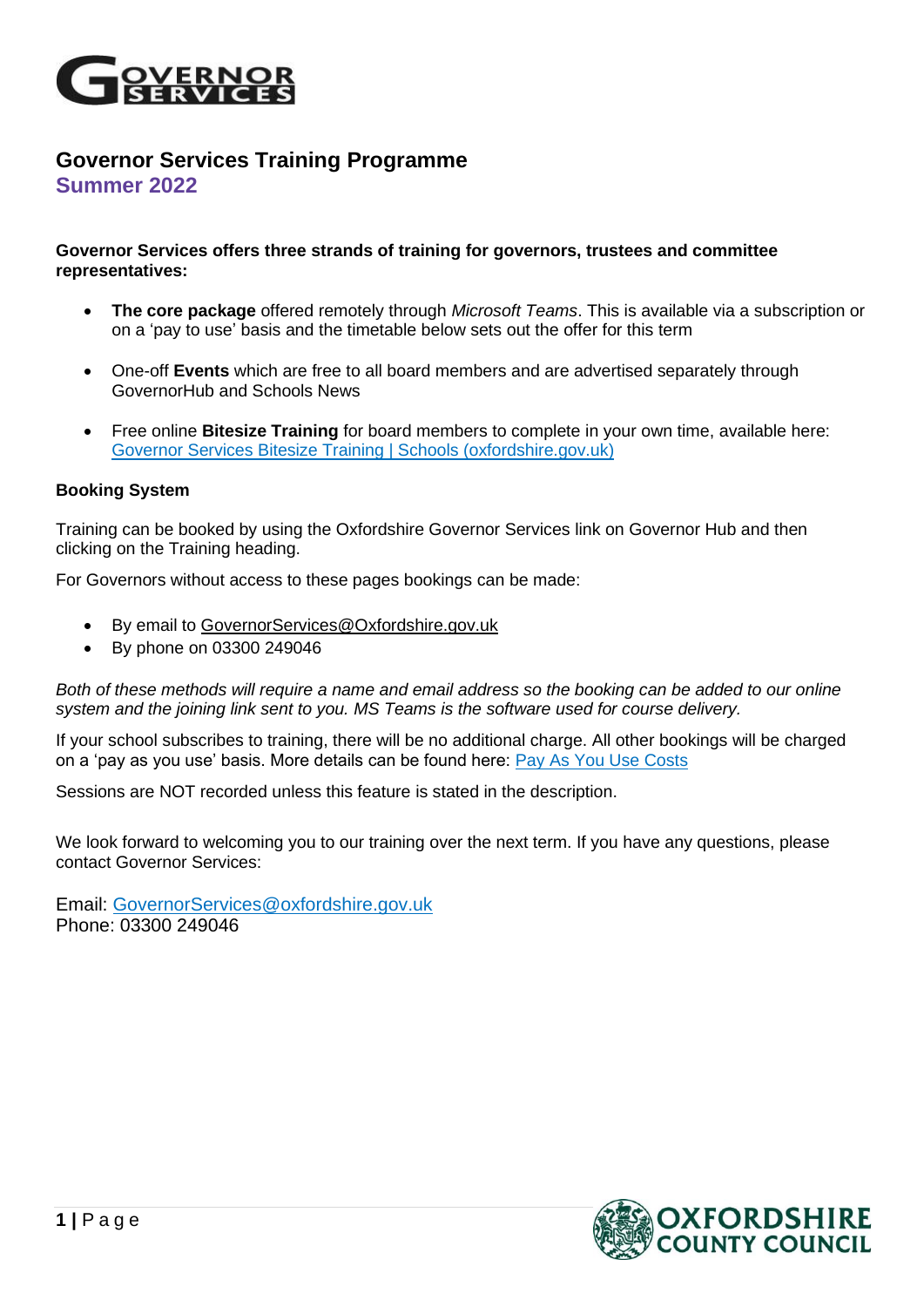

## **Governor Services Training Programme Summer 2022**

## **Governor Services offers three strands of training for governors, trustees and committee representatives:**

- **The core package** offered remotely through *Microsoft Teams*. This is available via a subscription or on a 'pay to use' basis and the timetable below sets out the offer for this term
- One-off **Events** which are free to all board members and are advertised separately through GovernorHub and Schools News
- Free online **Bitesize Training** for board members to complete in your own time, available here: [Governor Services Bitesize Training | Schools \(oxfordshire.gov.uk\)](http://schools.oxfordshire.gov.uk/cms/node/6823)

## **Booking System**

Training can be booked by using the Oxfordshire Governor Services link on Governor Hub and then clicking on the Training heading.

For Governors without access to these pages bookings can be made:

- By email to [GovernorServices@Oxfordshire.gov.uk](mailto:GovernorServices@Oxfordshire.gov.uk)
- By phone on 03300 249046

*Both of these methods will require a name and email address so the booking can be added to our online system and the joining link sent to you. MS Teams is the software used for course delivery.*

If your school subscribes to training, there will be no additional charge. All other bookings will be charged on a 'pay as you use' basis. More details can be found here: [Pay As You Use Costs](http://schools.oxfordshire.gov.uk/cms/node/22)

Sessions are NOT recorded unless this feature is stated in the description.

We look forward to welcoming you to our training over the next term. If you have any questions, please contact Governor Services:

Email: [GovernorServices@oxfordshire.gov.uk](mailto:GovernorServices@oxfordshire.gov.uk) Phone: 03300 249046

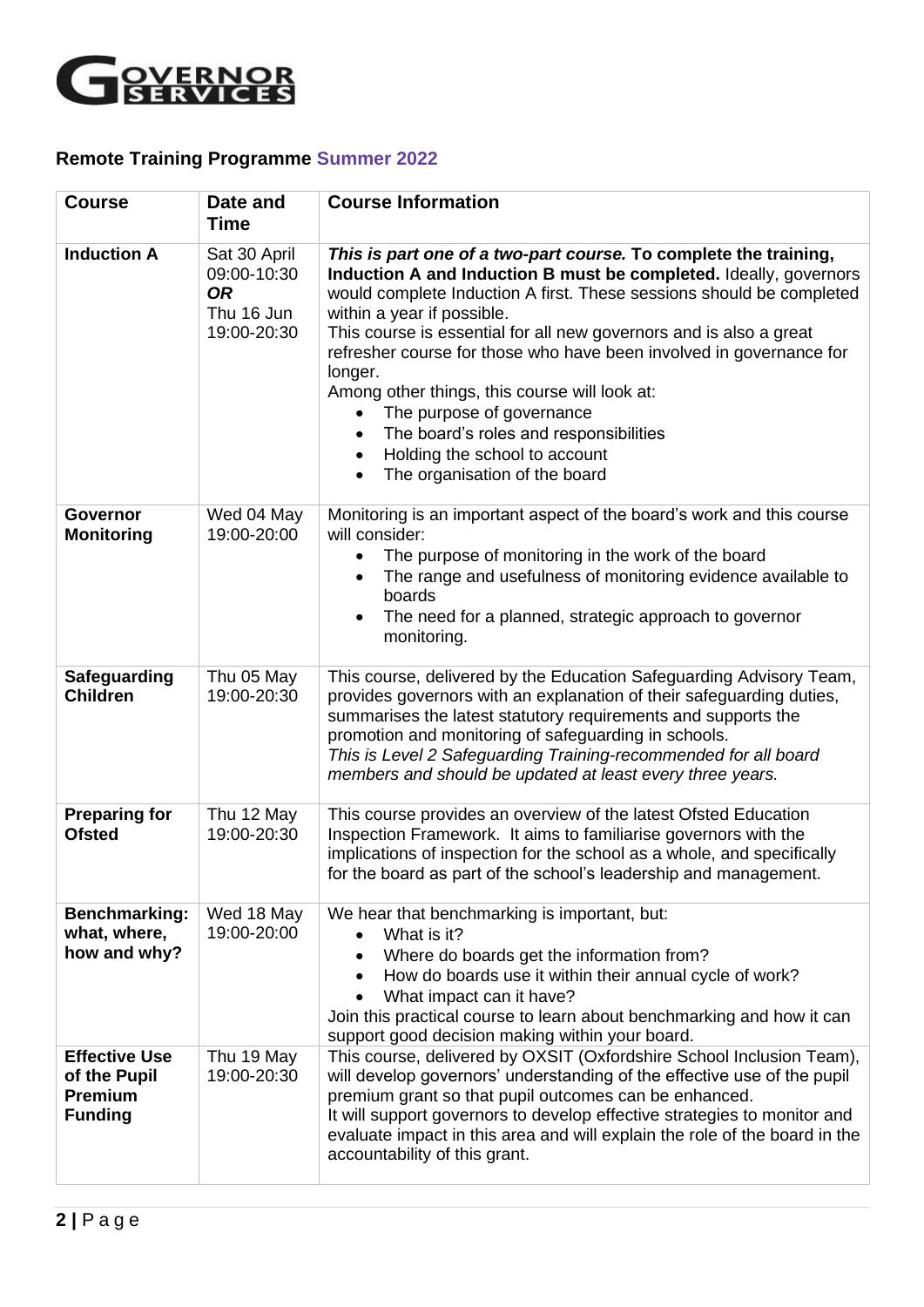

## **Remote Training Programme Summer 2022**

| <b>Course</b>                                                            | Date and<br><b>Time</b>                                               | <b>Course Information</b>                                                                                                                                                                                                                                                                                                                                                                                                                                                                                                                                                                                                                         |
|--------------------------------------------------------------------------|-----------------------------------------------------------------------|---------------------------------------------------------------------------------------------------------------------------------------------------------------------------------------------------------------------------------------------------------------------------------------------------------------------------------------------------------------------------------------------------------------------------------------------------------------------------------------------------------------------------------------------------------------------------------------------------------------------------------------------------|
| <b>Induction A</b>                                                       | Sat 30 April<br>09:00-10:30<br><b>OR</b><br>Thu 16 Jun<br>19:00-20:30 | This is part one of a two-part course. To complete the training,<br>Induction A and Induction B must be completed. Ideally, governors<br>would complete Induction A first. These sessions should be completed<br>within a year if possible.<br>This course is essential for all new governors and is also a great<br>refresher course for those who have been involved in governance for<br>longer.<br>Among other things, this course will look at:<br>The purpose of governance<br>$\bullet$<br>The board's roles and responsibilities<br>$\bullet$<br>Holding the school to account<br>$\bullet$<br>The organisation of the board<br>$\bullet$ |
| <b>Governor</b><br><b>Monitoring</b>                                     | Wed 04 May<br>19:00-20:00                                             | Monitoring is an important aspect of the board's work and this course<br>will consider:<br>The purpose of monitoring in the work of the board<br>$\bullet$<br>The range and usefulness of monitoring evidence available to<br>boards<br>The need for a planned, strategic approach to governor<br>monitoring.                                                                                                                                                                                                                                                                                                                                     |
| Safeguarding<br><b>Children</b>                                          | Thu 05 May<br>19:00-20:30                                             | This course, delivered by the Education Safeguarding Advisory Team,<br>provides governors with an explanation of their safeguarding duties,<br>summarises the latest statutory requirements and supports the<br>promotion and monitoring of safeguarding in schools.<br>This is Level 2 Safeguarding Training-recommended for all board<br>members and should be updated at least every three years.                                                                                                                                                                                                                                              |
| <b>Preparing for</b><br><b>Ofsted</b>                                    | Thu 12 May<br>19:00-20:30                                             | This course provides an overview of the latest Ofsted Education<br>Inspection Framework. It aims to familiarise governors with the<br>implications of inspection for the school as a whole, and specifically<br>for the board as part of the school's leadership and management.                                                                                                                                                                                                                                                                                                                                                                  |
| Benchmarking:<br>what, where,<br>how and why?                            | Wed 18 May<br>19:00-20:00                                             | We hear that benchmarking is important, but:<br>What is it?<br>$\bullet$<br>Where do boards get the information from?<br>$\bullet$<br>How do boards use it within their annual cycle of work?<br>$\bullet$<br>What impact can it have?<br>Join this practical course to learn about benchmarking and how it can<br>support good decision making within your board.                                                                                                                                                                                                                                                                                |
| <b>Effective Use</b><br>of the Pupil<br><b>Premium</b><br><b>Funding</b> | Thu 19 May<br>19:00-20:30                                             | This course, delivered by OXSIT (Oxfordshire School Inclusion Team),<br>will develop governors' understanding of the effective use of the pupil<br>premium grant so that pupil outcomes can be enhanced.<br>It will support governors to develop effective strategies to monitor and<br>evaluate impact in this area and will explain the role of the board in the<br>accountability of this grant.                                                                                                                                                                                                                                               |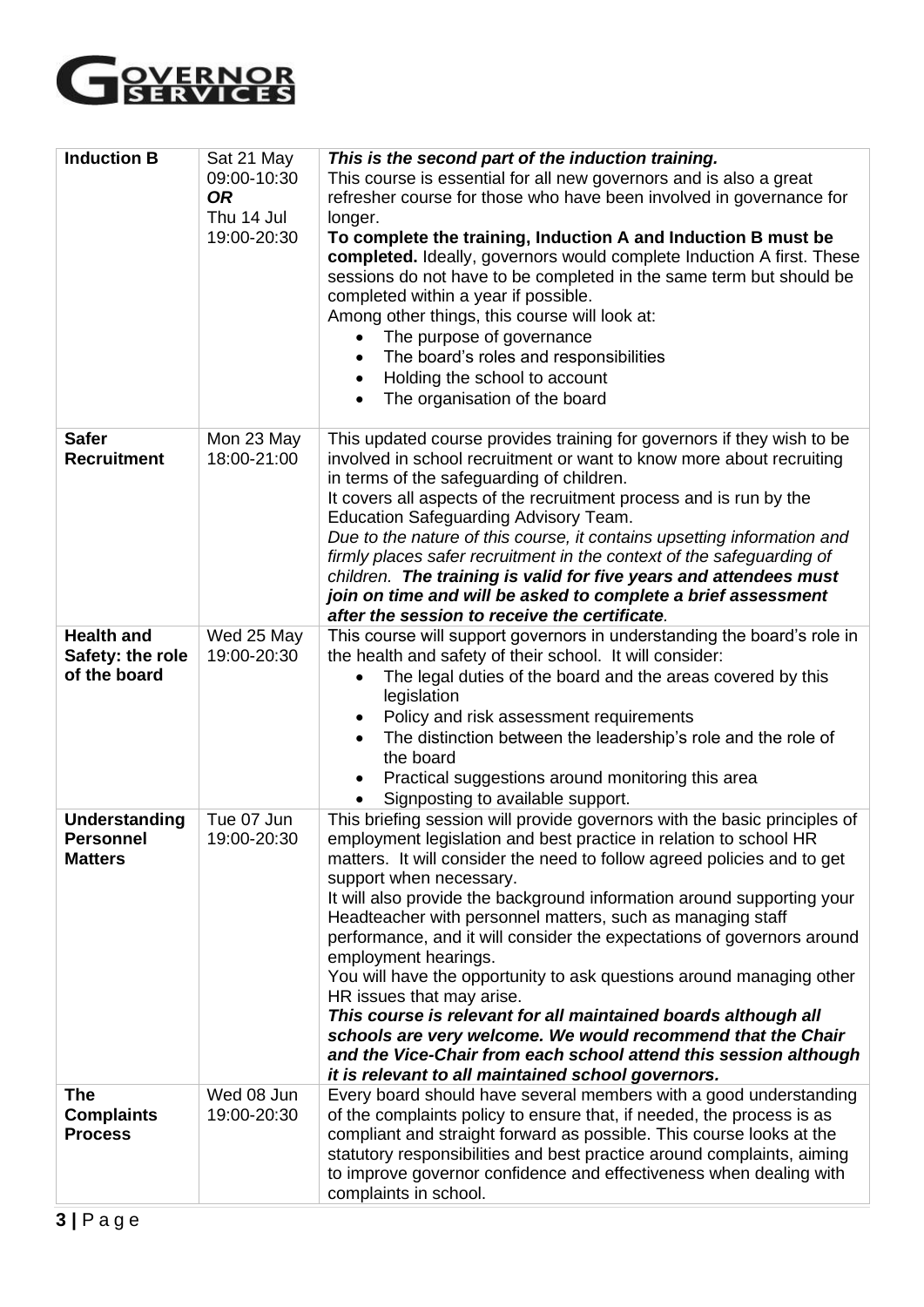

| <b>Induction B</b>                                         | Sat 21 May<br>09:00-10:30<br><b>OR</b><br>Thu 14 Jul<br>19:00-20:30 | This is the second part of the induction training.<br>This course is essential for all new governors and is also a great<br>refresher course for those who have been involved in governance for<br>longer.<br>To complete the training, Induction A and Induction B must be<br>completed. Ideally, governors would complete Induction A first. These<br>sessions do not have to be completed in the same term but should be<br>completed within a year if possible.<br>Among other things, this course will look at:<br>The purpose of governance<br>$\bullet$<br>The board's roles and responsibilities<br>$\bullet$<br>Holding the school to account<br>$\bullet$<br>The organisation of the board<br>$\bullet$                                                                                                                                              |
|------------------------------------------------------------|---------------------------------------------------------------------|----------------------------------------------------------------------------------------------------------------------------------------------------------------------------------------------------------------------------------------------------------------------------------------------------------------------------------------------------------------------------------------------------------------------------------------------------------------------------------------------------------------------------------------------------------------------------------------------------------------------------------------------------------------------------------------------------------------------------------------------------------------------------------------------------------------------------------------------------------------|
| <b>Safer</b><br><b>Recruitment</b>                         | Mon 23 May<br>18:00-21:00                                           | This updated course provides training for governors if they wish to be<br>involved in school recruitment or want to know more about recruiting<br>in terms of the safeguarding of children.<br>It covers all aspects of the recruitment process and is run by the<br>Education Safeguarding Advisory Team.<br>Due to the nature of this course, it contains upsetting information and<br>firmly places safer recruitment in the context of the safeguarding of<br>children. The training is valid for five years and attendees must<br>join on time and will be asked to complete a brief assessment<br>after the session to receive the certificate.                                                                                                                                                                                                          |
| <b>Health and</b><br>Safety: the role<br>of the board      | Wed 25 May<br>19:00-20:30                                           | This course will support governors in understanding the board's role in<br>the health and safety of their school. It will consider:<br>The legal duties of the board and the areas covered by this<br>legislation<br>Policy and risk assessment requirements<br>The distinction between the leadership's role and the role of<br>the board<br>Practical suggestions around monitoring this area<br>Signposting to available support.                                                                                                                                                                                                                                                                                                                                                                                                                           |
| <b>Understanding</b><br><b>Personnel</b><br><b>Matters</b> | Tue 07 Jun<br>19:00-20:30                                           | This briefing session will provide governors with the basic principles of<br>employment legislation and best practice in relation to school HR<br>matters. It will consider the need to follow agreed policies and to get<br>support when necessary.<br>It will also provide the background information around supporting your<br>Headteacher with personnel matters, such as managing staff<br>performance, and it will consider the expectations of governors around<br>employment hearings.<br>You will have the opportunity to ask questions around managing other<br>HR issues that may arise.<br>This course is relevant for all maintained boards although all<br>schools are very welcome. We would recommend that the Chair<br>and the Vice-Chair from each school attend this session although<br>it is relevant to all maintained school governors. |
| The<br><b>Complaints</b><br><b>Process</b>                 | Wed 08 Jun<br>19:00-20:30                                           | Every board should have several members with a good understanding<br>of the complaints policy to ensure that, if needed, the process is as<br>compliant and straight forward as possible. This course looks at the<br>statutory responsibilities and best practice around complaints, aiming<br>to improve governor confidence and effectiveness when dealing with<br>complaints in school.                                                                                                                                                                                                                                                                                                                                                                                                                                                                    |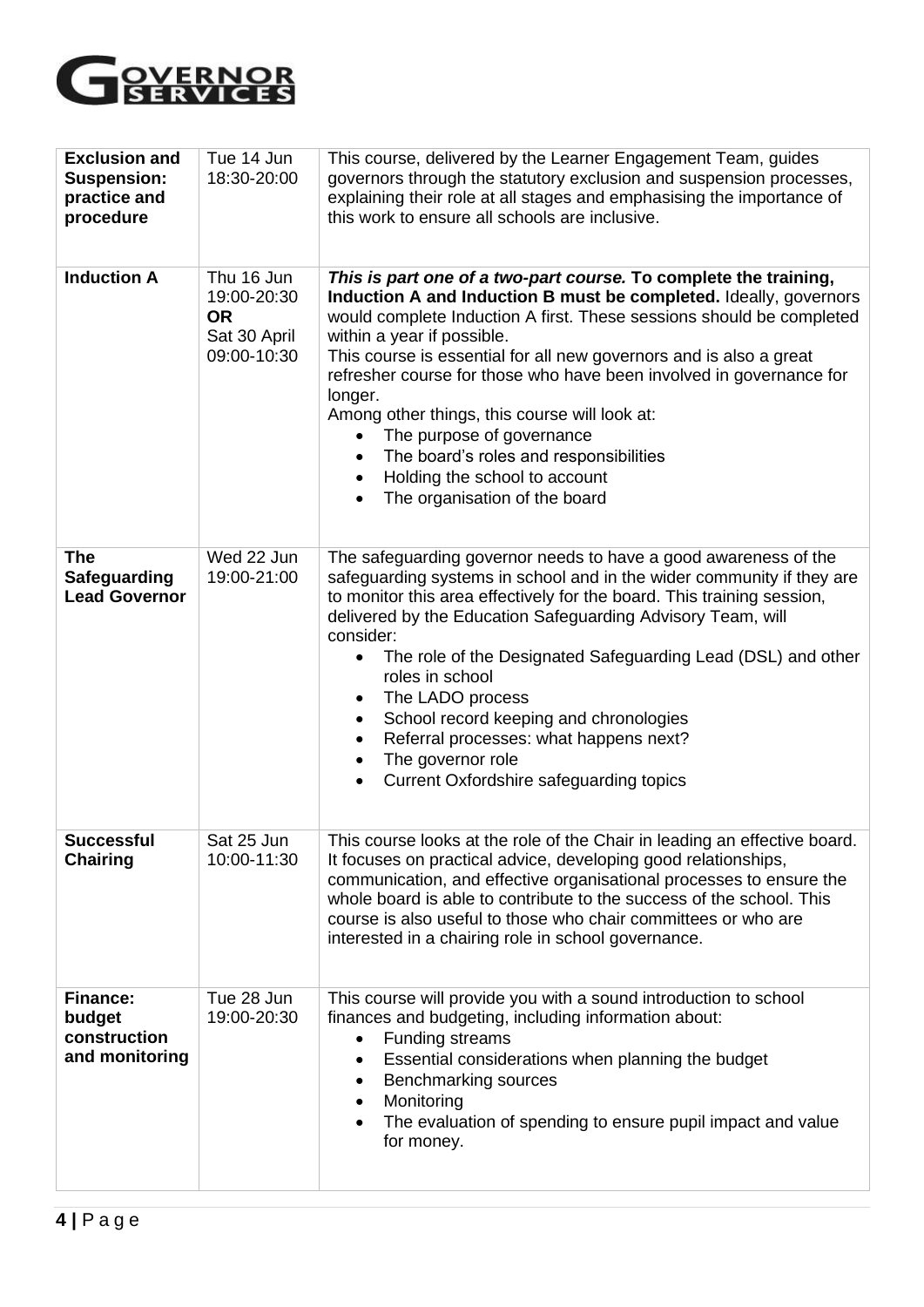

| <b>Exclusion and</b><br><b>Suspension:</b><br>practice and<br>procedure | Tue 14 Jun<br>18:30-20:00                                             | This course, delivered by the Learner Engagement Team, guides<br>governors through the statutory exclusion and suspension processes,<br>explaining their role at all stages and emphasising the importance of<br>this work to ensure all schools are inclusive.                                                                                                                                                                                                                                                                                                                                                                      |
|-------------------------------------------------------------------------|-----------------------------------------------------------------------|--------------------------------------------------------------------------------------------------------------------------------------------------------------------------------------------------------------------------------------------------------------------------------------------------------------------------------------------------------------------------------------------------------------------------------------------------------------------------------------------------------------------------------------------------------------------------------------------------------------------------------------|
| <b>Induction A</b>                                                      | Thu 16 Jun<br>19:00-20:30<br><b>OR</b><br>Sat 30 April<br>09:00-10:30 | This is part one of a two-part course. To complete the training,<br>Induction A and Induction B must be completed. Ideally, governors<br>would complete Induction A first. These sessions should be completed<br>within a year if possible.<br>This course is essential for all new governors and is also a great<br>refresher course for those who have been involved in governance for<br>longer.<br>Among other things, this course will look at:<br>The purpose of governance<br>$\bullet$<br>The board's roles and responsibilities<br>$\bullet$<br>Holding the school to account<br>$\bullet$<br>The organisation of the board |
| <b>The</b><br><b>Safeguarding</b><br><b>Lead Governor</b>               | Wed 22 Jun<br>19:00-21:00                                             | The safeguarding governor needs to have a good awareness of the<br>safeguarding systems in school and in the wider community if they are<br>to monitor this area effectively for the board. This training session,<br>delivered by the Education Safeguarding Advisory Team, will<br>consider:<br>The role of the Designated Safeguarding Lead (DSL) and other<br>roles in school<br>The LADO process<br>$\bullet$<br>School record keeping and chronologies<br>$\bullet$<br>Referral processes: what happens next?<br>$\bullet$<br>The governor role<br>$\bullet$<br>Current Oxfordshire safeguarding topics<br>$\bullet$           |
| <b>Successful</b><br><b>Chairing</b>                                    | Sat 25 Jun<br>10:00-11:30                                             | This course looks at the role of the Chair in leading an effective board.<br>It focuses on practical advice, developing good relationships,<br>communication, and effective organisational processes to ensure the<br>whole board is able to contribute to the success of the school. This<br>course is also useful to those who chair committees or who are<br>interested in a chairing role in school governance.                                                                                                                                                                                                                  |
| <b>Finance:</b><br>budget<br>construction<br>and monitoring             | Tue 28 Jun<br>19:00-20:30                                             | This course will provide you with a sound introduction to school<br>finances and budgeting, including information about:<br>Funding streams<br>Essential considerations when planning the budget<br>$\bullet$<br>Benchmarking sources<br>$\bullet$<br>Monitoring<br>$\bullet$<br>The evaluation of spending to ensure pupil impact and value<br>for money.                                                                                                                                                                                                                                                                           |